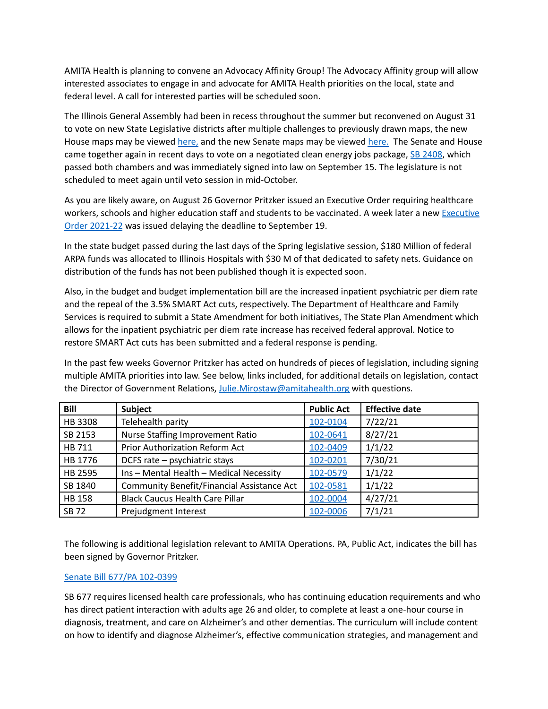AMITA Health is planning to convene an Advocacy Affinity Group! The Advocacy Affinity group will allow interested associates to engage in and advocate for AMITA Health priorities on the local, state and federal level. A call for interested parties will be scheduled soon.

The Illinois General Assembly had been in recess throughout the summer but reconvened on August 31 to vote on new State Legislative districts after multiple challenges to previously drawn maps, the new House maps may be viewed [here,](https://nam11.safelinks.protection.outlook.com/?url=https%3A%2F%2Fwww.google.com%2Fmaps%2Fd%2Fu%2F1%2Fviewer%3Fmid%3D1nOcVLoJolaZADr3MhaKr4PUTjNzKPbjH%26ll%3D39.79510521942542%252C-89.50414500000001%26z%3D7&data=04%7C01%7Cjulie.mirostaw%40amitahealth.org%7Cfe512119a42b4106571208d96f219dbf%7Cf81dc21ac1e5436c8b05d5f08b5a92bd%7C0%7C0%7C637663013061609140%7CUnknown%7CTWFpbGZsb3d8eyJWIjoiMC4wLjAwMDAiLCJQIjoiV2luMzIiLCJBTiI6Ik1haWwiLCJXVCI6Mn0%3D%7C1000&sdata=g3jbWF1PJKR%2FHs%2BhJWENfOMi9Q6hOwNNH9%2BemgsPrhE%3D&reserved=0) and the new Senate maps may be viewed [here.](https://nam11.safelinks.protection.outlook.com/?url=https%3A%2F%2Fwww.google.com%2Fmaps%2Fd%2Fu%2F2%2Fviewer%3Fll%3D41.611490420222644%252C-88.40276560546876%26z%3D10%26mid%3D1X9lSD13vTX_-4oIyWqstGk8e1VFGJ_i2&data=04%7C01%7Cjulie.mirostaw%40amitahealth.org%7Cfe512119a42b4106571208d96f219dbf%7Cf81dc21ac1e5436c8b05d5f08b5a92bd%7C0%7C0%7C637663013061619098%7CUnknown%7CTWFpbGZsb3d8eyJWIjoiMC4wLjAwMDAiLCJQIjoiV2luMzIiLCJBTiI6Ik1haWwiLCJXVCI6Mn0%3D%7C1000&sdata=yB3a8YVfmxmZ%2F2zSIrWaGrMJXE1nlim7RmulBjN3jDE%3D&reserved=0) The Senate and House came together again in recent days to vote on a negotiated clean energy jobs package, SB [2408](https://www.ilga.gov/legislation/102/SB/10200SB2408enr.htm), which passed both chambers and was immediately signed into law on September 15. The legislature is not scheduled to meet again until veto session in mid-October.

As you are likely aware, on August 26 Governor Pritzker issued an Executive Order requiring healthcare workers, schools and higher education staff and students to be vaccinated. A week later a new [Executive](https://nam11.safelinks.protection.outlook.com/?url=https%3A%2F%2Fwww.illinois.gov%2Fgovernment%2Fexecutive-orders%2Fexecutive-order.executive-order-number-22.2021.html&data=04%7C01%7Cjulie.mirostaw%40amitahealth.org%7C38ad082efc714c6b873708d974a30a58%7Cf81dc21ac1e5436c8b05d5f08b5a92bd%7C0%7C0%7C637669066148950467%7CUnknown%7CTWFpbGZsb3d8eyJWIjoiMC4wLjAwMDAiLCJQIjoiV2luMzIiLCJBTiI6Ik1haWwiLCJXVCI6Mn0%3D%7C1000&sdata=%2Fq25mzKW%2BRyH0bZnV87lLdAvLVniToZ%2FaoZrKefZl0Y%3D&reserved=0) Order [2021-22](https://nam11.safelinks.protection.outlook.com/?url=https%3A%2F%2Fwww.illinois.gov%2Fgovernment%2Fexecutive-orders%2Fexecutive-order.executive-order-number-22.2021.html&data=04%7C01%7Cjulie.mirostaw%40amitahealth.org%7C38ad082efc714c6b873708d974a30a58%7Cf81dc21ac1e5436c8b05d5f08b5a92bd%7C0%7C0%7C637669066148950467%7CUnknown%7CTWFpbGZsb3d8eyJWIjoiMC4wLjAwMDAiLCJQIjoiV2luMzIiLCJBTiI6Ik1haWwiLCJXVCI6Mn0%3D%7C1000&sdata=%2Fq25mzKW%2BRyH0bZnV87lLdAvLVniToZ%2FaoZrKefZl0Y%3D&reserved=0) was issued delaying the deadline to September 19.

In the state budget passed during the last days of the Spring legislative session, \$180 Million of federal ARPA funds was allocated to Illinois Hospitals with \$30 M of that dedicated to safety nets. Guidance on distribution of the funds has not been published though it is expected soon.

Also, in the budget and budget implementation bill are the increased inpatient psychiatric per diem rate and the repeal of the 3.5% SMART Act cuts, respectively. The Department of Healthcare and Family Services is required to submit a State Amendment for both initiatives, The State Plan Amendment which allows for the inpatient psychiatric per diem rate increase has received federal approval. Notice to restore SMART Act cuts has been submitted and a federal response is pending.

In the past few weeks Governor Pritzker has acted on hundreds of pieces of legislation, including signing multiple AMITA priorities into law. See below, links included, for additional details on legislation, contact the Director of Government Relations, [Julie.Mirostaw@amitahealth.org](mailto:Julie.Mirostaw@amitahealth.org) with questions.

| Bill          | <b>Subject</b>                             | <b>Public Act</b> | <b>Effective date</b> |
|---------------|--------------------------------------------|-------------------|-----------------------|
| HB 3308       | Telehealth parity                          | 102-0104          | 7/22/21               |
| SB 2153       | <b>Nurse Staffing Improvement Ratio</b>    | 102-0641          | 8/27/21               |
| HB 711        | Prior Authorization Reform Act             | 102-0409          | 1/1/22                |
| HB 1776       | DCFS rate - psychiatric stays              | 102-0201          | 7/30/21               |
| HB 2595       | Ins - Mental Health - Medical Necessity    | 102-0579          | 1/1/22                |
| SB 1840       | Community Benefit/Financial Assistance Act | 102-0581          | 1/1/22                |
| <b>HB 158</b> | <b>Black Caucus Health Care Pillar</b>     | 102-0004          | 4/27/21               |
| <b>SB 72</b>  | Prejudgment Interest                       | 102-0006          | 7/1/21                |

The following is additional legislation relevant to AMITA Operations. PA, Public Act, indicates the bill has been signed by Governor Pritzker.

# Senate Bill 677/PA [102-0399](https://www.ilga.gov/legislation/publicacts/102/PDF/102-0399.pdf)

SB 677 requires licensed health care professionals, who has continuing education requirements and who has direct patient interaction with adults age 26 and older, to complete at least a one-hour course in diagnosis, treatment, and care on Alzheimer's and other dementias. The curriculum will include content on how to identify and diagnose Alzheimer's, effective communication strategies, and management and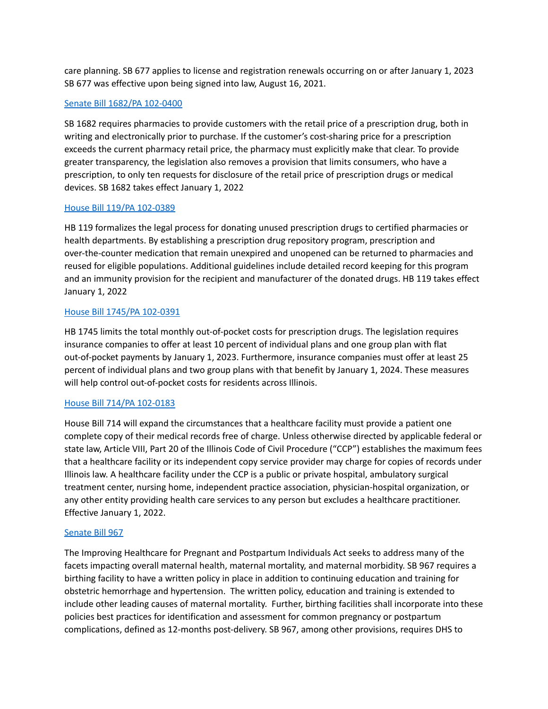care planning. SB 677 applies to license and registration renewals occurring on or after January 1, 2023 SB 677 was effective upon being signed into law, August 16, 2021.

# Senate Bill 1682/PA [102-0400](https://www.ilga.gov/legislation/publicacts/102/PDF/102-0400.pdf)

SB 1682 requires pharmacies to provide customers with the retail price of a prescription drug, both in writing and electronically prior to purchase. If the customer's cost-sharing price for a prescription exceeds the current pharmacy retail price, the pharmacy must explicitly make that clear. To provide greater transparency, the legislation also removes a provision that limits consumers, who have a prescription, to only ten requests for disclosure of the retail price of prescription drugs or medical devices. SB 1682 takes effect January 1, 2022

## House Bill 119/PA [102-0389](https://www.ilga.gov/legislation/publicacts/102/PDF/102-0389.pdf)

HB 119 formalizes the legal process for donating unused prescription drugs to certified pharmacies or health departments. By establishing a prescription drug repository program, prescription and over-the-counter medication that remain unexpired and unopened can be returned to pharmacies and reused for eligible populations. Additional guidelines include detailed record keeping for this program and an immunity provision for the recipient and manufacturer of the donated drugs. HB 119 takes effect January 1, 2022

## House Bill 1745/PA [102-0391](https://www.ilga.gov/legislation/publicacts/102/PDF/102-0391.pdf)

HB 1745 limits the total monthly out-of-pocket costs for prescription drugs. The legislation requires insurance companies to offer at least 10 percent of individual plans and one group plan with flat out-of-pocket payments by January 1, 2023. Furthermore, insurance companies must offer at least 25 percent of individual plans and two group plans with that benefit by January 1, 2024. These measures will help control out-of-pocket costs for residents across Illinois.

# House Bill 714/PA [102-0183](https://nam11.safelinks.protection.outlook.com/?url=https%3A%2F%2Fwww.ilga.gov%2Flegislation%2Fpublicacts%2Ffulltext.asp%3FName%3D102-0183&data=04%7C01%7Cjulie.mirostaw%40amitahealth.org%7C1a5cc3be01b04582131308d962597ef1%7Cf81dc21ac1e5436c8b05d5f08b5a92bd%7C0%7C0%7C637648958785397841%7CUnknown%7CTWFpbGZsb3d8eyJWIjoiMC4wLjAwMDAiLCJQIjoiV2luMzIiLCJBTiI6Ik1haWwiLCJXVCI6Mn0%3D%7C1000&sdata=8yt6JCqVcsp1CToZpWcNuIdD04e4CSZIklNbQV62yQg%3D&reserved=0)

House Bill 714 will expand the circumstances that a healthcare facility must provide a patient one complete copy of their medical records free of charge. Unless otherwise directed by applicable federal or state law, Article VIII, Part 20 of the Illinois Code of Civil Procedure ("CCP") establishes the maximum fees that a healthcare facility or its independent copy service provider may charge for copies of records under Illinois law. A healthcare facility under the CCP is a public or private hospital, ambulatory surgical treatment center, nursing home, independent practice association, physician-hospital organization, or any other entity providing health care services to any person but excludes a healthcare practitioner. Effective January 1, 2022.

### [Senate](https://www.ilga.gov/legislation/102/SB/PDF/10200SB0967ren.pdf) Bill 967

The Improving Healthcare for Pregnant and Postpartum Individuals Act seeks to address many of the facets impacting overall maternal health, maternal mortality, and maternal morbidity. SB 967 requires a birthing facility to have a written policy in place in addition to continuing education and training for obstetric hemorrhage and hypertension. The written policy, education and training is extended to include other leading causes of maternal mortality. Further, birthing facilities shall incorporate into these policies best practices for identification and assessment for common pregnancy or postpartum complications, defined as 12-months post-delivery. SB 967, among other provisions, requires DHS to